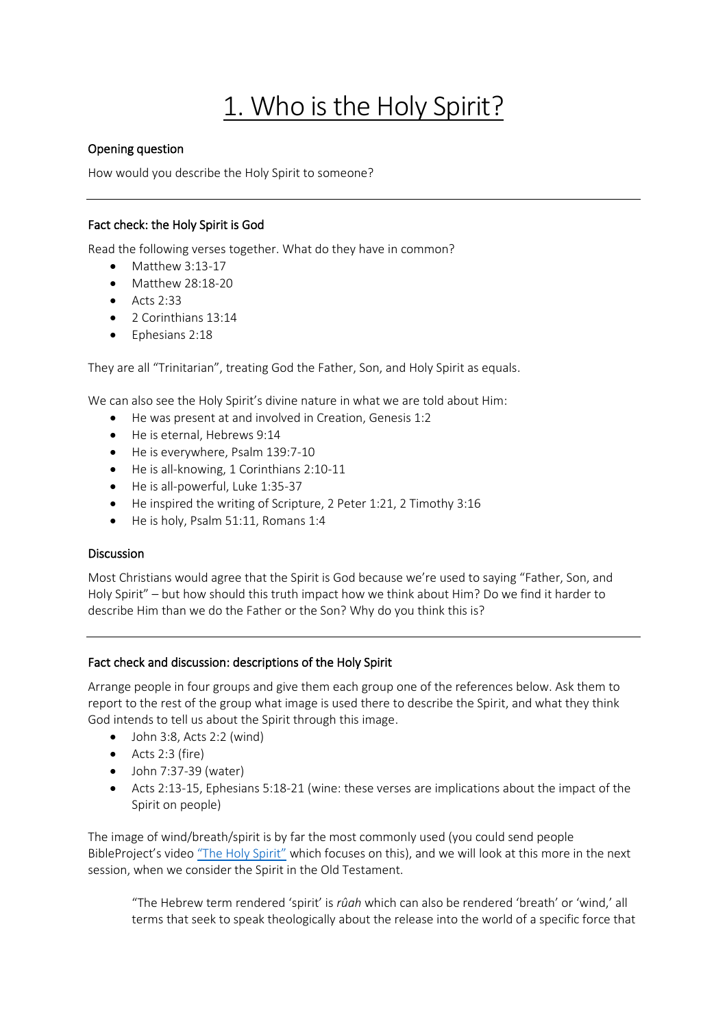# 1. Who is the Holy Spirit?

# Opening question

How would you describe the Holy Spirit to someone?

# Fact check: the Holy Spirit is God

Read the following verses together. What do they have in common?

- Matthew 3:13-17
- Matthew 28:18-20
- $\bullet$  Acts 2:33
- 2 Corinthians 13:14
- Ephesians 2:18

They are all "Trinitarian", treating God the Father, Son, and Holy Spirit as equals.

We can also see the Holy Spirit's divine nature in what we are told about Him:

- He was present at and involved in Creation, Genesis 1:2
- He is eternal, Hebrews 9:14
- He is everywhere, Psalm 139:7-10
- He is all-knowing, 1 Corinthians 2:10-11
- He is all-powerful, Luke 1:35-37
- He inspired the writing of Scripture, 2 Peter 1:21, 2 Timothy 3:16
- He is holy, Psalm 51:11, Romans 1:4

## Discussion

Most Christians would agree that the Spirit is God because we're used to saying "Father, Son, and Holy Spirit" – but how should this truth impact how we think about Him? Do we find it harder to describe Him than we do the Father or the Son? Why do you think this is?

## Fact check and discussion: descriptions of the Holy Spirit

Arrange people in four groups and give them each group one of the references below. Ask them to report to the rest of the group what image is used there to describe the Spirit, and what they think God intends to tell us about the Spirit through this image.

- $\bullet$  John 3:8, Acts 2:2 (wind)
- Acts 2:3 (fire)
- $\bullet$  John 7:37-39 (water)
- Acts 2:13-15, Ephesians 5:18-21 (wine: these verses are implications about the impact of the Spirit on people)

The image of wind/breath/spirit is by far the most commonly used (you could send people BibleProject's video ["The Holy Spirit"](https://youtu.be/oNNZO9i1Gjc) which focuses on this), and we will look at this more in the next session, when we consider the Spirit in the Old Testament.

"The Hebrew term rendered 'spirit' is *rûah* which can also be rendered 'breath' or 'wind,' all terms that seek to speak theologically about the release into the world of a specific force that